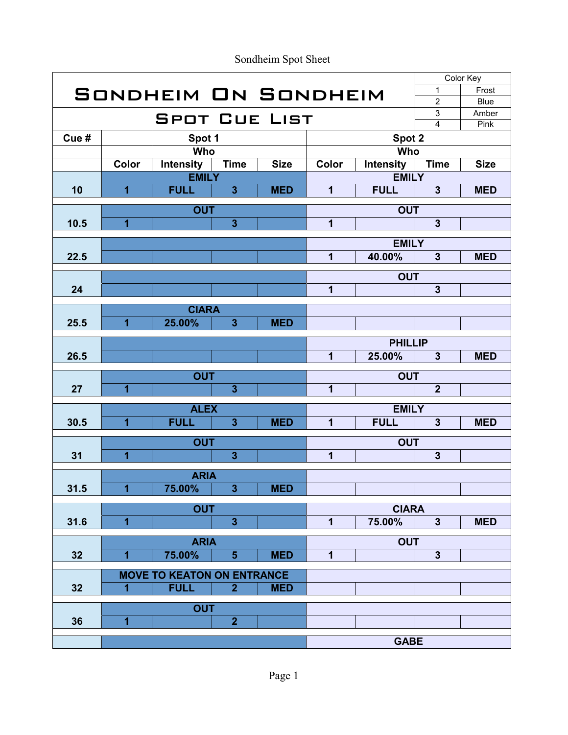|      |                         |                                   |                         |             |                |                  |                | Color Key   |
|------|-------------------------|-----------------------------------|-------------------------|-------------|----------------|------------------|----------------|-------------|
|      |                         | SONDHEIM ON SONDHEIM              |                         |             |                |                  | 1              | Frost       |
|      |                         |                                   |                         |             |                |                  | $\overline{c}$ | <b>Blue</b> |
|      |                         | <b>SPOT CUE LIST</b>              |                         |             |                |                  | $\mathsf 3$    | Amber       |
|      |                         |                                   |                         |             |                |                  | $\overline{4}$ | Pink        |
| Cue# |                         | Spot 1                            |                         |             | Spot 2         |                  |                |             |
|      |                         | Who                               |                         |             |                | Who              |                |             |
|      | Color                   | Intensity                         | <b>Time</b>             | <b>Size</b> | Color          | <b>Intensity</b> | <b>Time</b>    | <b>Size</b> |
|      |                         | <b>EMILY</b>                      |                         |             |                | <b>EMILY</b>     |                |             |
| 10   | $\overline{1}$          | <b>FULL</b>                       | $\overline{3}$          | <b>MED</b>  | 1              | <b>FULL</b>      | $\overline{3}$ | <b>MED</b>  |
|      |                         | <b>OUT</b>                        |                         |             |                | <b>OUT</b>       |                |             |
| 10.5 | $\overline{1}$          |                                   | $\overline{3}$          |             | $\mathbf{1}$   |                  | $\mathbf{3}$   |             |
|      |                         |                                   |                         |             |                |                  |                |             |
|      |                         |                                   |                         |             |                | <b>EMILY</b>     |                |             |
| 22.5 |                         |                                   |                         |             | $\overline{1}$ | 40.00%           | $\mathbf{3}$   | <b>MED</b>  |
|      |                         |                                   |                         |             |                | <b>OUT</b>       |                |             |
| 24   |                         |                                   |                         |             | 1              |                  | $\overline{3}$ |             |
|      |                         |                                   |                         |             |                |                  |                |             |
|      |                         | <b>CIARA</b>                      |                         |             |                |                  |                |             |
| 25.5 | $\overline{1}$          | 25.00%                            | $\overline{3}$          | <b>MED</b>  |                |                  |                |             |
|      |                         |                                   |                         |             | <b>PHILLIP</b> |                  |                |             |
| 26.5 |                         |                                   |                         |             | $\overline{1}$ | 25.00%           | $\mathbf{3}$   | <b>MED</b>  |
|      |                         |                                   |                         |             |                |                  |                |             |
|      |                         | <b>OUT</b>                        |                         |             |                | <b>OUT</b>       |                |             |
| 27   | $\overline{\mathbf{1}}$ |                                   | $\overline{\mathbf{3}}$ |             | 1              |                  | $\overline{2}$ |             |
|      |                         | <b>ALEX</b>                       |                         |             | <b>EMILY</b>   |                  |                |             |
| 30.5 | $\overline{1}$          | <b>FULL</b>                       | $\overline{3}$          | <b>MED</b>  | $\overline{1}$ | <b>FULL</b>      | $\mathbf{3}$   | <b>MED</b>  |
|      |                         |                                   |                         |             |                |                  |                |             |
|      | $\overline{1}$          | <b>OUT</b>                        | $\overline{3}$          |             | $\overline{1}$ | <b>OUT</b>       | $\mathbf{3}$   |             |
| 31   |                         |                                   |                         |             |                |                  |                |             |
|      |                         | <b>ARIA</b>                       |                         |             |                |                  |                |             |
| 31.5 | 1                       | 75.00%                            | 3                       | <b>MED</b>  |                |                  |                |             |
|      |                         |                                   |                         |             |                |                  |                |             |
|      | $\overline{\mathbf{1}}$ | <b>OUT</b>                        |                         |             | $\mathbf{1}$   | <b>CIARA</b>     | $\mathbf{3}$   | <b>MED</b>  |
| 31.6 |                         |                                   | $\mathbf{3}$            |             |                | 75.00%           |                |             |
|      |                         | <b>ARIA</b>                       |                         |             |                | <b>OUT</b>       |                |             |
| 32   | $\overline{1}$          | 75.00%                            | $5\phantom{1}$          | <b>MED</b>  | $\mathbf{1}$   |                  | $\mathbf{3}$   |             |
|      |                         | <b>MOVE TO KEATON ON ENTRANCE</b> |                         |             |                |                  |                |             |
| 32   | $\overline{1}$          | <b>FULL</b>                       | $\overline{2}$          | <b>MED</b>  |                |                  |                |             |
|      |                         |                                   |                         |             |                |                  |                |             |
|      | <b>OUT</b>              |                                   |                         |             |                |                  |                |             |
| 36   | $\overline{1}$          |                                   | $\overline{2}$          |             |                |                  |                |             |
|      |                         |                                   |                         |             |                | <b>GABE</b>      |                |             |
|      |                         |                                   |                         |             |                |                  |                |             |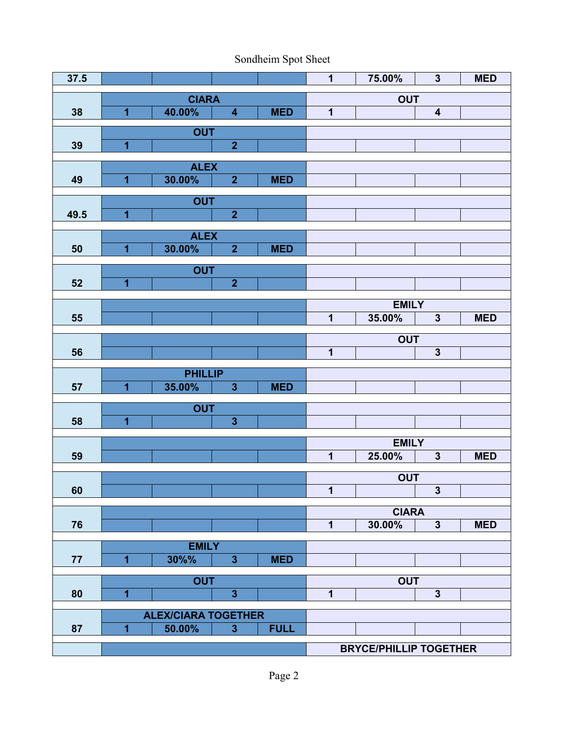| 37.5 |                         |                            |                         |             | $\mathbf 1$             | 75.00%                        | $\overline{\mathbf{3}}$ | <b>MED</b> |
|------|-------------------------|----------------------------|-------------------------|-------------|-------------------------|-------------------------------|-------------------------|------------|
|      |                         | <b>CIARA</b>               |                         |             | <b>OUT</b>              |                               |                         |            |
| 38   | $\overline{1}$          | 40.00%                     | $\overline{\mathbf{4}}$ | <b>MED</b>  | $\overline{\mathbf{1}}$ |                               | $\overline{\mathbf{4}}$ |            |
|      |                         | <b>OUT</b>                 |                         |             |                         |                               |                         |            |
| 39   | $\overline{1}$          |                            | $\overline{2}$          |             |                         |                               |                         |            |
|      |                         |                            |                         |             |                         |                               |                         |            |
| 49   | $\overline{\mathbf{1}}$ | <b>ALEX</b><br>30.00%      | $\overline{2}$          | <b>MED</b>  |                         |                               |                         |            |
|      |                         |                            |                         |             |                         |                               |                         |            |
|      |                         | <b>OUT</b>                 |                         |             |                         |                               |                         |            |
| 49.5 | $\overline{\mathbf{1}}$ |                            | $\overline{2}$          |             |                         |                               |                         |            |
|      |                         | <b>ALEX</b>                |                         |             |                         |                               |                         |            |
| 50   | $\overline{\mathbf{1}}$ | 30.00%                     | $\mathbf{2}$            | <b>MED</b>  |                         |                               |                         |            |
|      |                         | <b>OUT</b>                 |                         |             |                         |                               |                         |            |
| 52   | $\overline{1}$          |                            | $\overline{2}$          |             |                         |                               |                         |            |
|      |                         |                            |                         |             |                         |                               |                         |            |
|      |                         |                            |                         |             |                         | <b>EMILY</b>                  |                         |            |
| 55   |                         |                            |                         |             | $\overline{\mathbf{1}}$ | 35.00%                        | $\mathbf{3}$            | <b>MED</b> |
|      |                         |                            |                         |             |                         | <b>OUT</b>                    |                         |            |
| 56   |                         |                            |                         |             | $\overline{1}$          |                               | $\mathbf{3}$            |            |
|      |                         | <b>PHILLIP</b>             |                         |             |                         |                               |                         |            |
| 57   | $\overline{\mathbf{1}}$ | 35.00%                     | $\mathbf{3}$            | <b>MED</b>  |                         |                               |                         |            |
|      |                         |                            |                         |             |                         |                               |                         |            |
|      | $\overline{\mathbf{1}}$ | <b>OUT</b>                 |                         |             |                         |                               |                         |            |
| 58   |                         |                            | $\mathbf{3}$            |             |                         |                               |                         |            |
|      |                         |                            |                         |             |                         | <b>EMILY</b>                  |                         |            |
| 59   |                         |                            |                         |             | $\mathbf 1$             | 25.00%                        | $\mathbf{3}$            | <b>MED</b> |
|      |                         |                            |                         |             |                         | <b>OUT</b>                    |                         |            |
| 60   |                         |                            |                         |             | $\mathbf 1$             |                               | $\mathbf{3}$            |            |
|      |                         |                            |                         |             |                         | <b>CIARA</b>                  |                         |            |
| 76   |                         |                            |                         |             | $\overline{\mathbf{1}}$ | 30.00%                        | $\mathbf{3}$            | <b>MED</b> |
|      |                         |                            |                         |             |                         |                               |                         |            |
|      |                         | <b>EMILY</b>               |                         |             |                         |                               |                         |            |
| 77   | $\overline{1}$          | 30%%                       | 3 <sup>1</sup>          | <b>MED</b>  |                         |                               |                         |            |
|      |                         | <b>OUT</b>                 |                         |             |                         | <b>OUT</b>                    |                         |            |
| 80   | $\overline{\mathbf{1}}$ |                            | $\overline{\mathbf{3}}$ |             | $\mathbf 1$             |                               | $\mathbf{3}$            |            |
|      |                         | <b>ALEX/CIARA TOGETHER</b> |                         |             |                         |                               |                         |            |
| 87   | $\overline{1}$          | 50.00%                     | $\overline{3}$          | <b>FULL</b> |                         |                               |                         |            |
|      |                         |                            |                         |             |                         |                               |                         |            |
|      |                         |                            |                         |             |                         | <b>BRYCE/PHILLIP TOGETHER</b> |                         |            |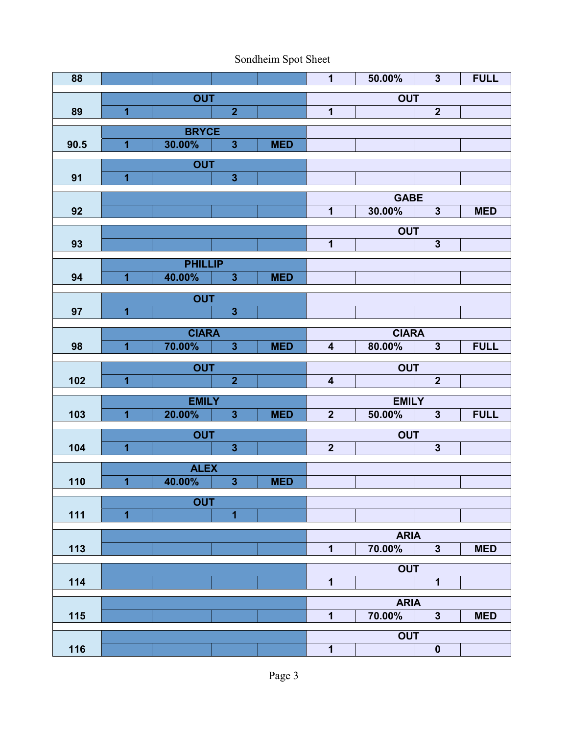| 88   |                         |                       |                         |            | $\mathbf 1$             | 50.00%                | $\overline{\mathbf{3}}$ | <b>FULL</b> |
|------|-------------------------|-----------------------|-------------------------|------------|-------------------------|-----------------------|-------------------------|-------------|
|      |                         | <b>OUT</b>            |                         |            | <b>OUT</b>              |                       |                         |             |
| 89   | $\overline{1}$          |                       | $\overline{2}$          |            | $\overline{\mathbf{1}}$ |                       | $\overline{2}$          |             |
|      |                         | <b>BRYCE</b>          |                         |            |                         |                       |                         |             |
| 90.5 | $\overline{\mathbf{1}}$ | 30.00%                | $\overline{\mathbf{3}}$ | <b>MED</b> |                         |                       |                         |             |
|      |                         | <b>OUT</b>            |                         |            |                         |                       |                         |             |
| 91   | $\overline{\mathbf{1}}$ |                       | $\overline{\mathbf{3}}$ |            |                         |                       |                         |             |
|      |                         |                       |                         |            |                         | <b>GABE</b>           |                         |             |
| 92   |                         |                       |                         |            | $\mathbf 1$             | 30.00%                | $\mathbf{3}$            | <b>MED</b>  |
|      |                         |                       |                         |            |                         | <b>OUT</b>            |                         |             |
| 93   |                         |                       |                         |            | $\mathbf 1$             |                       | $\overline{\mathbf{3}}$ |             |
|      |                         | <b>PHILLIP</b>        |                         |            |                         |                       |                         |             |
| 94   | $\overline{1}$          | 40.00%                | $\overline{\mathbf{3}}$ | <b>MED</b> |                         |                       |                         |             |
|      |                         | <b>OUT</b>            |                         |            |                         |                       |                         |             |
| 97   | $\overline{\mathbf{1}}$ |                       | $\overline{\mathbf{3}}$ |            |                         |                       |                         |             |
|      |                         | <b>CIARA</b>          |                         |            |                         | <b>CIARA</b>          |                         |             |
| 98   | $\overline{1}$          | 70.00%                | $\overline{\mathbf{3}}$ | <b>MED</b> | $\overline{\mathbf{4}}$ | 80.00%                | $\overline{\mathbf{3}}$ | <b>FULL</b> |
|      |                         | <b>OUT</b>            |                         |            |                         | <b>OUT</b>            |                         |             |
| 102  | $\overline{1}$          |                       | $\overline{2}$          |            | $\overline{\mathbf{4}}$ |                       | $\overline{\mathbf{2}}$ |             |
|      |                         | <b>EMILY</b>          |                         |            |                         | <b>EMILY</b>          |                         |             |
| 103  | $\overline{\mathbf{1}}$ | 20.00%                | $\overline{\mathbf{3}}$ | <b>MED</b> | $\overline{2}$          | 50.00%                | $\mathbf{3}$            | <b>FULL</b> |
|      |                         |                       |                         |            |                         |                       |                         |             |
| 104  | $\overline{\mathbf{1}}$ | <b>OUT</b>            | $\overline{\mathbf{3}}$ |            | $\overline{\mathbf{2}}$ | <b>OUT</b>            | $\mathbf{3}$            |             |
|      |                         |                       |                         |            |                         |                       |                         |             |
| 110  | $\overline{\mathbf{1}}$ | <b>ALEX</b><br>40.00% | $\mathbf{3}$            | <b>MED</b> |                         |                       |                         |             |
|      |                         |                       |                         |            |                         |                       |                         |             |
| 111  | $\overline{1}$          | <b>OUT</b>            | 1                       |            |                         |                       |                         |             |
|      |                         |                       |                         |            |                         |                       |                         |             |
| 113  |                         |                       |                         |            | 1                       | <b>ARIA</b><br>70.00% | $\mathbf{3}$            | <b>MED</b>  |
|      |                         |                       |                         |            |                         |                       |                         |             |
| 114  |                         |                       |                         |            | 1                       | <b>OUT</b>            | $\mathbf{1}$            |             |
|      |                         |                       |                         |            |                         |                       |                         |             |
|      |                         |                       |                         |            | $\mathbf{1}$            | <b>ARIA</b>           | $\mathbf{3}$            | <b>MED</b>  |
| 115  |                         |                       |                         |            |                         | 70.00%                |                         |             |
|      |                         |                       |                         |            |                         | <b>OUT</b>            |                         |             |
| 116  |                         |                       |                         |            | 1                       |                       | $\mathbf 0$             |             |